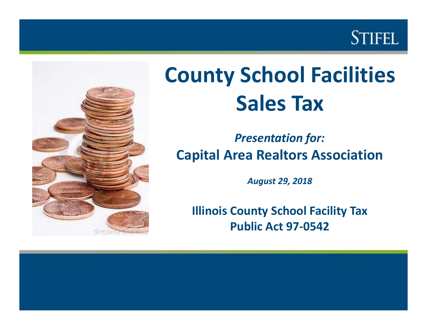



# **County School Facilities Sales Tax**

## *Presentation for:* **Capital Area Realtors Association**

*August 29, 2018*

**Illinois County School Facility Tax Public Act 97‐0542**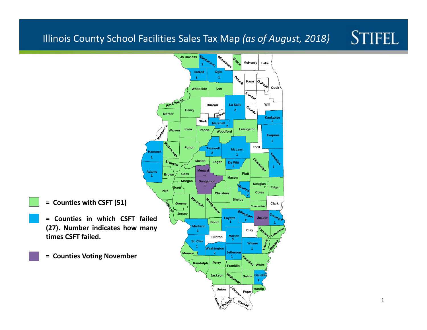#### **STIFEL** Illinois County School Facilities Sales Tax Map *(as of August, 2018)*

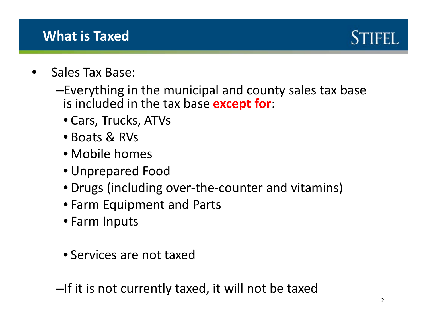## **What is Taxed**



- •• Sales Tax Base:
	- –Everything in the municipal and county sales tax base is included in the tax base **except for**:
		- Cars, Trucks, ATVs
		- Boats & RVs
		- Mobile homes
		- Unprepared Food
		- Drugs (including over‐the‐counter and vitamins)
		- Farm Equipment and Parts
		- Farm Inputs
		- Services are not taxed

–If it is not currently taxed, it will not be taxed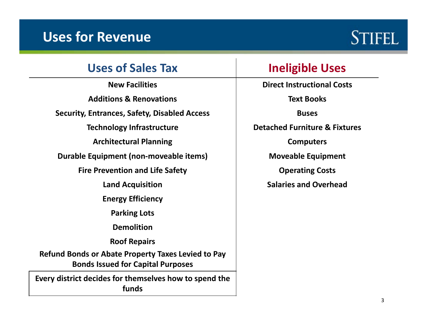### **Uses for Revenue**

# **STIFEL**

#### **Uses of Sales Tax**

**NewAdditions & Renovations Text Books Security, Entrances, Safety, Disabled Access Buses Technology Infrastructure Detached Furniture & Fixtures ArchitecturalDurable Equipment (non‐moveable items) Moveable Equipment Fire PreventionLandEnergy Efficiency Parking Lots DemolitionRoof Repairs Refund Bonds or Abate Property Taxes Levied to Pay Bonds Issued for Capital Purposes**

**Every district decides for themselves how to spend the funds**

#### **Ineligible Uses**

**Facilities Direct Instructional Costs**

**Planning Computers**

**and Life Safety Operating Costs**

**Acquisition Salaries and Overhead**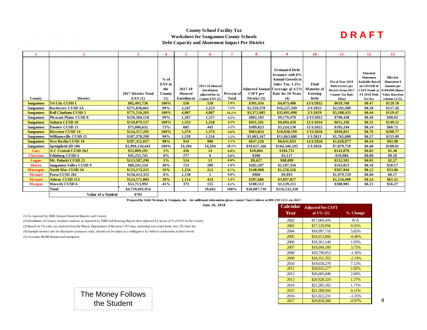#### **County School Facility Tax Worksheet for Sangamon County Schools Debt Capacity and Abatement Impact Per District**

#### **D R A F T**

|                  |                               | 3                   | 4      | 5                 | 6                           |              | 8              | 9                               | <b>10</b>          | 11                      | 12                                         | 13                               |
|------------------|-------------------------------|---------------------|--------|-------------------|-----------------------------|--------------|----------------|---------------------------------|--------------------|-------------------------|--------------------------------------------|----------------------------------|
|                  |                               |                     |        |                   |                             |              |                |                                 |                    |                         |                                            |                                  |
|                  |                               |                     |        |                   |                             |              |                |                                 |                    |                         |                                            |                                  |
|                  |                               |                     |        |                   |                             |              |                | <b>Estimated Debt</b>           |                    |                         |                                            |                                  |
|                  |                               |                     |        |                   |                             |              |                | <b>Issuance with 0%</b>         |                    |                         | Potential                                  |                                  |
|                  |                               |                     | $%$ of |                   |                             |              |                | <b>Annual Growth in</b>         |                    | <b>Fiscal Year 2018</b> | <b>Abatement</b><br><b>Available Based</b> | <b>Effective</b><br>Abatement \$ |
|                  |                               |                     | EAV in |                   | 2017-18 Housed              |              |                | Sales Tax, 1.25x                | Final              | Debt Service per        | on LESSER of                               | Amount per                       |
|                  |                               |                     | the    | 2017-18           | <b>Enrollment</b>           |              |                | Adjusted Annual Coverage @ 4.5% | <b>Maturity</b> of | District from 2017      | <b>CSFT</b> Funds or                       | \$100,000 House                  |
|                  |                               | 2017 District Total | County | Housed            | adjusted for in- Percent of |              | CSFT per       | Rate for 20 Years               | <b>Existing</b>    | <b>County Tax Rate</b>  | <b>FY 2018 Debt</b>                        | <b>Value Based on</b>            |
| County           | <b>District</b>               | EAV(1)              | (1)    | <b>Enrollment</b> | County EAV (2)              | <b>Total</b> | District $(3)$ | (4)                             | Debt               | <b>Sheet</b>            | <b>Service</b>                             | column $12(5)$                   |
| <b>Sangamon</b>  | Tri City CUSD 1               | \$82,491,736        | 100%   | 558               | 558                         | 1.9%         | \$391,434      | \$4,073,400                     | 12/1/2032          | \$619,760               | \$0.47                                     | \$129.70                         |
| <b>Sangamon</b>  | <b>Rochester CUSD 3A</b>      | \$271,036,661       | 99%    | 2,247             | 2,223                       | 7.5%         | \$1,559,370    | \$16,227,349                    | 2/1/2035           | \$2,592,389             | \$0.58                                     | \$157.26                         |
| <b>Sangamon</b>  | <b>Ball Chatham CUSD 5</b>    | \$771,510,203       | 100%   | 4.807             | 4.807                       | 16.2%        | \$3,372,085    | \$35,091,098                    | 2/1/2029           | \$5,188,435             | \$0.44                                     | \$119.47                         |
| Sangamon         | <b>Pleasant Plains CUSD 8</b> | \$220.384.118       | 99%    | 1,267             | 1,257                       | 4.2%         | \$882,103      | \$9,179,470                     | 2/15/2022          | \$790,438               | \$0.36                                     | \$98.03                          |
| <b>Sangamon</b>  | <b>Auburn CUSD 10</b>         | \$119,079,157       | 100%   | 1,333             | 1,328                       | 4.5%         | \$931,591      | \$9,694,459                     | 12/1/2034          | \$651,336               | \$0.55                                     | \$149.51                         |
| Sangamon         | Pawnee CUSD 11                | \$75,886,632        | 73%    | 605               | 442                         | 1.5%         | \$309,823      | \$3,224,130                     | 12/1/2022          | \$185,244               | \$0.24                                     | \$66.72                          |
| <b>Sangamon</b>  | <b>Riverton CUSD 14</b>       | \$124,357,295       | 100%   | 1.374             | 1.374                       | 4.6%         | \$963,854      | \$10,030,199                    | 1/15/2026          | \$949,851               | \$0.76                                     | \$208.77                         |
| Sangamon         | Williams ville CUSD 15        | \$187,378,290       | 98%    | 1,539             | 1,516                       | 5.1%         | \$1,063,167    | \$11,063,688                    | 1/1/2021           | \$1,765,000             | \$0.57                                     | \$155.09                         |
| <b>Sangamon</b>  | <b>New Berlin CUSD 16</b>     | \$187,312,017       | 98%    | 924               | 908                         | 3.1%         | \$637,210      | \$6,631,033                     | 12/1/2026          | \$1,620,877             | \$0.34                                     | \$92.98                          |
| Sangamon         | Springfield SD 186            | \$1,994,150,443     | 100%   | 14,294            | 14,294                      | 48.2%        | \$10,027,166   | \$104,346,193                   | 2/1/2026           | \$7,879,759             | \$0.40                                     | \$108.01                         |
| <b>Cass</b>      | <b>A-C Central CUSD 262</b>   | \$51,889,191        | 3%     | 436               | 14                          | $0.0\%$      | \$10,064       | \$104,731                       |                    | \$143,070               | \$0.02                                     | \$5.30                           |
| <b>Christian</b> | <b>Edinburg CUSD 4</b>        | \$45,231,745        | $0\%$  | 277               | $\mathbf{0}$                | $0.0\%$      | \$300          | \$3,117                         |                    | \$59,984                | \$0.00                                     | \$0.18                           |
| Logan            | Mt. Pulaski CUSD 23           | \$113,587,290       | 3%     | 514               | 13                          | $0.0\%$      | \$9,427        | \$98,099                        |                    | \$132,581               | \$0.01                                     | \$2.27                           |
| <b>Macon</b>     | <b>Sangamon Valley CUSD 9</b> | \$89,241,524        | 40%    | 723               | 289                         | $1.0\%$      | \$202,507      | \$2,107,356                     |                    | \$163,813               | \$0.18                                     | \$50.17                          |
| <b>Macoupin</b>  | <b>North Mac CUSD 34</b>      | \$123,173,215       | 16%    | 1,324             | 212                         | 0.7%         | \$148,968      | \$1,550,216                     |                    | \$507,044               | \$0.12                                     | \$33.06                          |
| <b>Menard</b>    | Porta CUSD 202                | \$158,412,353       | $0\%$  | 1,138             |                             | $0.0\%$      | \$960          | \$9,993                         |                    | \$1,979,729             | \$0.00                                     | \$0.17                           |
| <b>Menard</b>    | <b>Athens CUSD 213</b>        | \$124,571,084       | 38%    | 1,114             | 424                         | 1.4%         | \$297,686      | \$3,097,827                     |                    | \$1,134,400             | \$0.24                                     | \$65.32                          |
| <b>Morgan</b>    | <b>Waverly CUSD 6</b>         | \$52,713,992        | 41%    | 373               | 155                         | 0.5%         | \$108,512      | \$1,129,211                     |                    | \$300,985               | \$0.21                                     | \$56.27                          |
|                  | Total                         | \$4,739,692,954     |        |                   | 29,662                      | 100%         | \$20,807,716   | \$216,532,358                   |                    |                         |                                            |                                  |
|                  | Value of a Student            | \$701               |        |                   |                             |              |                |                                 |                    |                         |                                            |                                  |

**Prepared by Stifel Nicolaus & Company, Inc. - for additional information please contact Tom Crabtree at 800-230-5151 ext. 8457**

**June 26, 2018**

(1) As reported by ISBE Annual Financial Reports and County

(4) Example interest rate for illustrative purposes only, should not be taken as a willingness by Stifel to underwrite at these levels (5) Assumes \$6,000 Homestead exemption (2) Enrollment of County resident students as reported by ISBE Fall Housing Report then adjusted by factor of % of EAV in the County (3) Based on 1% sales tax, derived from the Illinois Department of Revenue CST data, excluding non-taxed items, less 2% State fee

**Calendar YearAdjusted Net CSFT at 1% (1) % Change** 2002 \$17,069,476 N/A \$17,129,956 0.35% \$18,097,716 5.65% 2005 | \$18,013,866 | -0.46% \$18,361,140 1.93% \$19,049,189 3.75% \$18,790,053 -1.36% \$18,351,352 -2.33% \$19,658,270 7.12% \$20,035,277 1.92% \$20,605,040 2.84% \$20,928,324 1.57% \$21,285,182 1.71% \$21,309,592 0.11% \$21,022,231 -1.35% 2017 \$20,818,380 -0.97% 4

The Money Follows the Student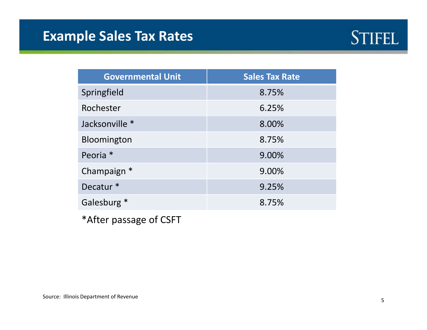# **Example Sales Tax Rates**



| <b>Governmental Unit</b> | <b>Sales Tax Rate</b> |  |  |  |  |
|--------------------------|-----------------------|--|--|--|--|
| Springfield              | 8.75%                 |  |  |  |  |
| Rochester                | 6.25%                 |  |  |  |  |
| Jacksonville *           | 8.00%                 |  |  |  |  |
| Bloomington              | 8.75%                 |  |  |  |  |
| Peoria <sup>*</sup>      | 9.00%                 |  |  |  |  |
| Champaign *              | 9.00%                 |  |  |  |  |
| Decatur <sup>*</sup>     | 9.25%                 |  |  |  |  |
| Galesburg *              | 8.75%                 |  |  |  |  |

\*After passage of CSFT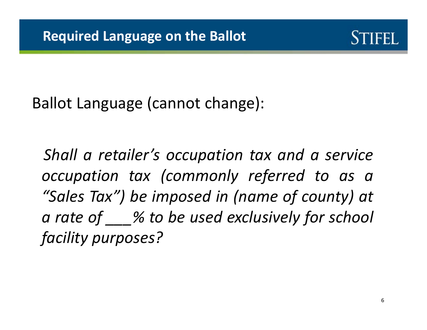

Ballot Language (cannot change):

*Shall <sup>a</sup> retailer's occupation tax and <sup>a</sup> service occupation tax (commonly referred to as <sup>a</sup> "Sales Tax") be imposed in (name of county) at <sup>a</sup> rate of \_\_\_% to be used exclusively for school facility purposes?*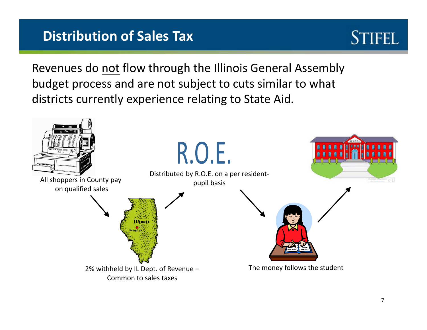# **Distribution of Sales Tax**



Revenues do <u>not</u> flow through the Illinois General Assembly budget process and are not subject to cuts similar to what districts currently experience relating to State Aid.